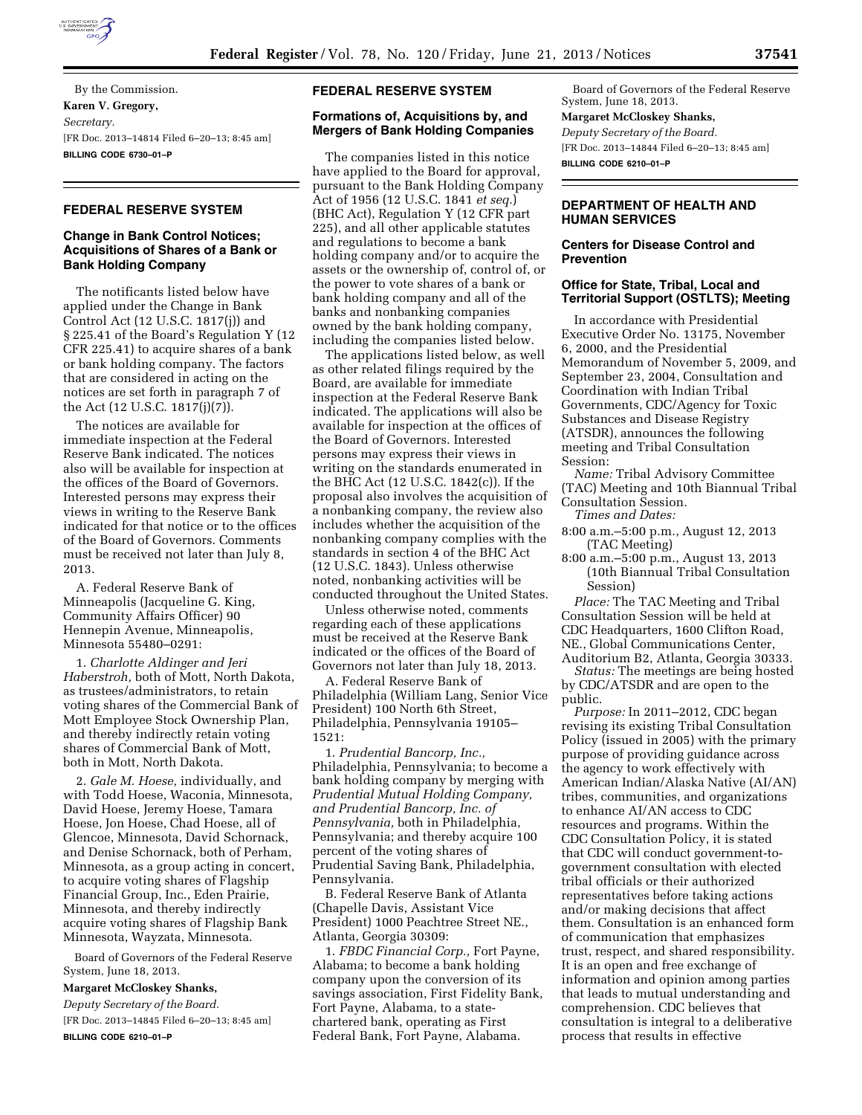

By the Commission. **Karen V. Gregory,**  *Secretary.*  [FR Doc. 2013–14814 Filed 6–20–13; 8:45 am] **BILLING CODE 6730–01–P** 

# **FEDERAL RESERVE SYSTEM**

## **Change in Bank Control Notices; Acquisitions of Shares of a Bank or Bank Holding Company**

The notificants listed below have applied under the Change in Bank Control Act (12 U.S.C. 1817(j)) and § 225.41 of the Board's Regulation Y (12 CFR 225.41) to acquire shares of a bank or bank holding company. The factors that are considered in acting on the notices are set forth in paragraph 7 of the Act (12 U.S.C. 1817(j)(7)).

The notices are available for immediate inspection at the Federal Reserve Bank indicated. The notices also will be available for inspection at the offices of the Board of Governors. Interested persons may express their views in writing to the Reserve Bank indicated for that notice or to the offices of the Board of Governors. Comments must be received not later than July 8, 2013.

A. Federal Reserve Bank of Minneapolis (Jacqueline G. King, Community Affairs Officer) 90 Hennepin Avenue, Minneapolis, Minnesota 55480–0291:

1. *Charlotte Aldinger and Jeri Haberstroh,* both of Mott, North Dakota, as trustees/administrators, to retain voting shares of the Commercial Bank of Mott Employee Stock Ownership Plan, and thereby indirectly retain voting shares of Commercial Bank of Mott, both in Mott, North Dakota.

2. *Gale M. Hoese,* individually, and with Todd Hoese, Waconia, Minnesota, David Hoese, Jeremy Hoese, Tamara Hoese, Jon Hoese, Chad Hoese, all of Glencoe, Minnesota, David Schornack, and Denise Schornack, both of Perham, Minnesota, as a group acting in concert, to acquire voting shares of Flagship Financial Group, Inc., Eden Prairie, Minnesota, and thereby indirectly acquire voting shares of Flagship Bank Minnesota, Wayzata, Minnesota.

Board of Governors of the Federal Reserve System, June 18, 2013.

#### **Margaret McCloskey Shanks,**

*Deputy Secretary of the Board.*  [FR Doc. 2013–14845 Filed 6–20–13; 8:45 am] **BILLING CODE 6210–01–P** 

#### **FEDERAL RESERVE SYSTEM**

#### **Formations of, Acquisitions by, and Mergers of Bank Holding Companies**

The companies listed in this notice have applied to the Board for approval, pursuant to the Bank Holding Company Act of 1956 (12 U.S.C. 1841 *et seq.*) (BHC Act), Regulation Y (12 CFR part 225), and all other applicable statutes and regulations to become a bank holding company and/or to acquire the assets or the ownership of, control of, or the power to vote shares of a bank or bank holding company and all of the banks and nonbanking companies owned by the bank holding company, including the companies listed below.

The applications listed below, as well as other related filings required by the Board, are available for immediate inspection at the Federal Reserve Bank indicated. The applications will also be available for inspection at the offices of the Board of Governors. Interested persons may express their views in writing on the standards enumerated in the BHC Act (12 U.S.C. 1842(c)). If the proposal also involves the acquisition of a nonbanking company, the review also includes whether the acquisition of the nonbanking company complies with the standards in section 4 of the BHC Act (12 U.S.C. 1843). Unless otherwise noted, nonbanking activities will be conducted throughout the United States.

Unless otherwise noted, comments regarding each of these applications must be received at the Reserve Bank indicated or the offices of the Board of Governors not later than July 18, 2013.

A. Federal Reserve Bank of Philadelphia (William Lang, Senior Vice President) 100 North 6th Street, Philadelphia, Pennsylvania 19105– 1521:

1. *Prudential Bancorp, Inc.,*  Philadelphia, Pennsylvania; to become a bank holding company by merging with *Prudential Mutual Holding Company, and Prudential Bancorp, Inc. of Pennsylvania,* both in Philadelphia, Pennsylvania; and thereby acquire 100 percent of the voting shares of Prudential Saving Bank, Philadelphia, Pennsylvania.

B. Federal Reserve Bank of Atlanta (Chapelle Davis, Assistant Vice President) 1000 Peachtree Street NE., Atlanta, Georgia 30309:

1. *FBDC Financial Corp.,* Fort Payne, Alabama; to become a bank holding company upon the conversion of its savings association, First Fidelity Bank, Fort Payne, Alabama, to a statechartered bank, operating as First Federal Bank, Fort Payne, Alabama.

Board of Governors of the Federal Reserve System, June 18, 2013.

# **Margaret McCloskey Shanks,**

*Deputy Secretary of the Board.*  [FR Doc. 2013–14844 Filed 6–20–13; 8:45 am] **BILLING CODE 6210–01–P** 

## **DEPARTMENT OF HEALTH AND HUMAN SERVICES**

## **Centers for Disease Control and Prevention**

#### **Office for State, Tribal, Local and Territorial Support (OSTLTS); Meeting**

In accordance with Presidential Executive Order No. 13175, November 6, 2000, and the Presidential Memorandum of November 5, 2009, and September 23, 2004, Consultation and Coordination with Indian Tribal Governments, CDC/Agency for Toxic Substances and Disease Registry (ATSDR), announces the following meeting and Tribal Consultation Session:

*Name:* Tribal Advisory Committee (TAC) Meeting and 10th Biannual Tribal Consultation Session. *Times and Dates:* 

- 8:00 a.m.–5:00 p.m., August 12, 2013
- (TAC Meeting) 8:00 a.m.–5:00 p.m., August 13, 2013 (10th Biannual Tribal Consultation Session)

*Place:* The TAC Meeting and Tribal Consultation Session will be held at CDC Headquarters, 1600 Clifton Road, NE., Global Communications Center, Auditorium B2, Atlanta, Georgia 30333.

*Status:* The meetings are being hosted by CDC/ATSDR and are open to the public.

*Purpose:* In 2011–2012, CDC began revising its existing Tribal Consultation Policy (issued in 2005) with the primary purpose of providing guidance across the agency to work effectively with American Indian/Alaska Native (AI/AN) tribes, communities, and organizations to enhance AI/AN access to CDC resources and programs. Within the CDC Consultation Policy, it is stated that CDC will conduct government-togovernment consultation with elected tribal officials or their authorized representatives before taking actions and/or making decisions that affect them. Consultation is an enhanced form of communication that emphasizes trust, respect, and shared responsibility. It is an open and free exchange of information and opinion among parties that leads to mutual understanding and comprehension. CDC believes that consultation is integral to a deliberative process that results in effective